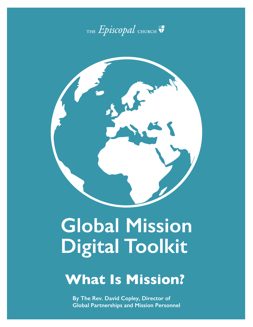



# **Global Mission Digital Toolkit**

# **What Is Mission?**

**By The Rev. David Copley, Director of Global Partnerships and Mission Personnel**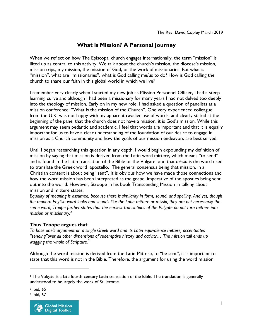# **What is Mission? A Personal Journey**

When we reflect on how The Episcopal church engages internationally, the term "mission" is lifted up as central to this activity. We talk about the church's mission, the diocese's mission, mission trips, my mission, the mission of God, or the work of missionaries. But what is "mission", what are "missionaries", what is God calling me/us to do? How is God calling the church to share our faith in this global world in which we live?

I remember very clearly when I started my new job as Mission Personnel Officer, I had a steep learning curve and although I had been a missionary for many years I had not delved too deeply into the theology of mission. Early on in my new role, I had asked a question of panelists at a mission conference; "What is the mission of the Church". One very experienced colleague from the U.K. was not happy with my apparent cavalier use of words, and clearly stated at the beginning of the panel that the church does not have a mission, it is God's mission. While this argument may seem pedantic and academic, I feel that words are important and that it is equally important for us to have a clear understanding of the foundation of our desire to engage in mission as a Church community and how the goals of our mission endeavors are best served.

Until I began researching this question in any depth, I would begin expounding my definition of mission by saying that mission is derived from the Latin word mittere, which means "to send" and is found in the Latin translation of the Bible or the Vulgate<sup>[1](#page-1-0)</sup> and that *missio* is the word used to translate the Greek word apostello. The general consensus being that mission, in a Christian context is about being "sent". It is obvious how we have made those connections and how the word mission has been interpreted as the gospel imperative of the apostles being sent out into the world. However, Stroope in his book Transcending Mission in talking about mission and mittere states,

*Equality of meaning is assumed, because there is similarity in form, sound, and spelling. And yet, though the modern English word looks and sounds like the Latin mittere or missio, they are not necessarily the same word, Troope further states that the earliest translations of the Vulgate do not turn mittere into mission or missionary.[2](#page-1-1)*

#### **Thus Troope argues that**

*To base one's argument on a single Greek word and its Latin equivalence mittere, accentuates "sending"over all other dimensions of redemptive history and activity… The mission tail ends up wagging the whole of Scripture.[3](#page-1-2)*

Although the word mission is derived from the Latin Mittere, to "be sent", it is important to state that this word is not in the Bible. Therefore, the argument for using the word mission

 $\overline{a}$ 

<span id="page-1-2"></span><sup>3</sup> Ibid, 67



<span id="page-1-0"></span><sup>1</sup> The Vulgate is a late fourth-century Latin translation of the Bible. The translation is generally understood to be largely the work of St. Jerome.

<span id="page-1-1"></span><sup>2</sup> Ibid, 65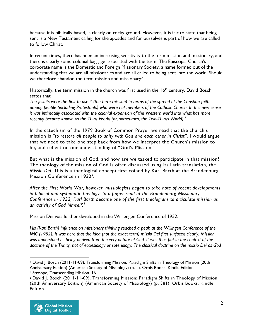because it is biblically based, is clearly on rocky ground. However, it is fair to state that being sent is a New Testament calling for the apostles and for ourselves is part of how we are called to follow Christ.

In recent times, there has been an increasing sensitivity to the term mission and missionary, and there is clearly some colonial baggage associated with the term. The Episcopal Church's corporate name is the Domestic and Foreign Missionary Society, a name formed out of the understanding that we are all missionaries and are all called to being sent into the world. Should we therefore abandon the term mission and missionary?

Historically, the term mission in the church was first used in the  $16<sup>th</sup>$  century. David Bosch states that

*The Jesuits were the first to use it (the term mission) in terms of the spread of the Christian faith among people (including Protestants) who were not members of the Catholic Church. In this new sense it was intimately associated with the colonial expansion of the Western world into what has more recently become known as the Third World (or, sometimes, the Two-Thirds World).[4](#page-2-0)*

In the catechism of the 1979 Book of Common Prayer we read that the church's mission is "to restore all people to unity with God and each other in Christ". I would argue that we need to take one step back from how we interpret the Church's mission to be, and reflect on our understanding of "God's Mission"

But what is the mission of God, and how are we tasked to participate in that mission? The theology of the mission of God is often discussed using its Latin translation, the *Missio Dei.* This is a theological concept first coined by Karl Barth at the Brandenburg Mission Conference in 1932<sup>[5](#page-2-1)</sup>.

*After the First World War, however, missiologists began to take note of recent developments in biblical and systematic theology. In a paper read at the Brandenburg Missionary Conference in 1932, Karl Barth became one of the first theologians to articulate mission as an activity of God himself. [6](#page-2-2)*

Mission Dei was further developed in the Williengen Conference of 1952.

*His (Karl Barth) influence on missionary thinking reached a peak at the Willingen Conference of the IMC (1952). It was here that the idea (not the exact term) missio Dei first surfaced clearly. Mission was understood as being derived from the very nature of God. It was thus put in the context of the doctrine of the Trinity, not of ecclesiology or soteriology. The classical doctrine on the missio Dei as God* 

<span id="page-2-2"></span><span id="page-2-1"></span><sup>6</sup> David J. Bosch (2011-11-09). Transforming Mission: Paradigm Shifts in Theology of Mission (20th Anniversary Edition) (American Society of Missiology) (p. 381). Orbis Books. Kindle Edition.



 $\overline{a}$ 

<span id="page-2-0"></span><sup>4</sup> David J. Bosch (2011-11-09). Transforming Mission: Paradigm Shifts in Theology of Mission (20th Anniversary Edition) (American Society of Missiology) (p.1 ). Orbis Books. Kindle Edition. <sup>5</sup> Stroope, Transcending Mission. 16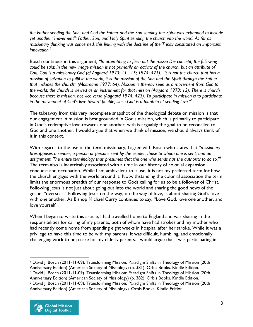*the Father sending the Son, and God the Father and the Son sending the Spirit was expanded to include yet another "movement": Father, Son, and Holy Spirit sending the church into the world. As far as missionary thinking was concerned, this linking with the doctrine of the Trinity constituted an important innovation.[7](#page-3-0)* 

Bosch continues in this argument*, "In attempting to flesh out the missio Dei concept, the following could be said: In the new image mission is not primarily an activity of the church, but an attribute of God. God is a missionary God (cf Aagaard 1973: 11– 15; 1974: 421). "It is not the church that has a mission of salvation to fulfil in the world; it is the mission of the Son and the Spirit through the Father that includes the church" (Moltmann 1977: 64). Mission is thereby seen as a movement from God to the world; the church is viewed as an instrument for that mission (Aagaard 1973: 13). There is church because there is mission, not vice versa (Aagaard 1974: 423). To participate in mission is to participate in the movement of God's love toward people, since God is a fountain of sending love."[8](#page-3-1)*

The takeaway from this very incomplete snapshot of the theological debate on mission is that our engagement in mission is best grounded in God's mission, which is primarily to participate in God's redemptive love towards one another, with is arguably the goal to be reconciled to God and one another. I would argue that when we think of mission, we should always think of it in this context.

With regards to the use of the term missionary, I agree with Bosch who states that "*missionary presupposes a sender, a person or persons sent by the sender, those to whom one is sent, and an assignment. The entire terminology thus presumes that the one who sends has the authority to do so."[9](#page-3-2)* The term also is inextricably associated with a time in our history of colonial expansion, conquest and occupation. While I am ambivalent to it use, it is not my preferred term for how the church engages with the world around it. Notwithstanding the colonial association the term limits the enormous breadth of our response to Gods calling for us to be a follower of Christ. Following Jesus is not just about going out into the world and sharing the good news of the gospel "overseas". Following Jesus on the way, on the way of love, is about sharing God's love with one another. As Bishop Michael Curry continues to say, "Love God, love one another, and love yourself".

When I began to write this article, I had travelled home to England and was sharing in the responsibilities for caring of my parents, both of whom have had strokes and my mother who had recently come home from spending eight weeks in hospital after her stroke. While it was a privilege to have this time to be with my parents. It was difficult, humbling, and emotionally challenging work to help care for my elderly parents. I would argue that I was participating in

<span id="page-3-2"></span><span id="page-3-1"></span><span id="page-3-0"></span><sup>7</sup> David J. Bosch (2011-11-09). Transforming Mission: Paradigm Shifts in Theology of Mission (20th Anniversary Edition) (American Society of Missiology) (p. 381). Orbis Books. Kindle Edition. <sup>8</sup> David J. Bosch (2011-11-09). Transforming Mission: Paradigm Shifts in Theology of Mission (20th Anniversary Edition) (American Society of Missiology) (p. 382). Orbis Books. Kindle Edition. <sup>9</sup> David J. Bosch (2011-11-09). Transforming Mission: Paradigm Shifts in Theology of Mission (20th Anniversary Edition) (American Society of Missiology). Orbis Books. Kindle Edition.



 $\overline{a}$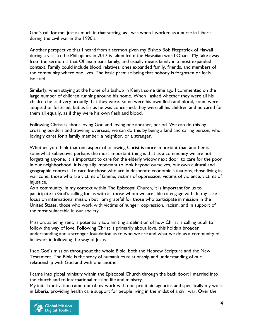God's call for me, just as much in that setting, as I was when I worked as a nurse in Liberia during the civil war in the 1990's.

Another perspective that I heard from a sermon given my Bishop Bob Fitzpatrick of Hawaii during a visit to the Philippines in 2017 is taken from the Hawaiian word Ohana. My take away from the sermon is that Ohana means family, and usually means family in a most expanded context. Family could include blood relatives, ones expanded family, friends, and members of the community where one lives. The basic premise being that nobody is forgotten or feels isolated.

Similarly, when staying at the home of a bishop in Kenya some time ago I commented on the large number of children running around his home. When I asked whether they were all his children he said very proudly that they were. Some were his own flesh and blood, some were adopted or fostered, but as far as he was concerned, they were all his children and he cared for them all equally, as if they were his own flesh and blood.

Following Christ is about loving God and loving one another, period. We can do this by crossing borders and traveling overseas, we can do this by being a kind and caring person, who lovingly cares for a family member, a neighbor, or a stranger.

Whether you think that one aspect of following Christ is more important than another is somewhat subjective, perhaps the most important thing is that as a community we are not forgetting anyone. It is important to care for the elderly widow next door, to care for the poor in our neighborhood, it is equally important to look beyond ourselves, our own cultural and geographic context. To care for those who are in desperate economic situations, those living in war zone, those who are victims of famine, victims of oppression, victims of violence, victims of injustice.

As a community, in my context within The Episcopal Church, it is important for us to participate in God's calling for us with all those whom we are able to engage with. In my case I focus on international mission but I am grateful for those who participate in mission in the United States, those who work with victims of hunger, oppression, racism, and in support of the most vulnerable in our society.

Mission, as being sent, is potentially too limiting a definition of how Christ is calling us all to follow the way of love. Following Christ is primarily about love, this holds a broader understanding and a stronger foundation as to who we are and what we do as a community of believers in following the way of Jesus.

I see God's mission throughout the whole Bible, both the Hebrew Scripture and the New Testament. The Bible is the story of humanities relationship and understanding of our relationship with God and with one another.

I came into global ministry within the Episcopal Church through the back door; I married into the church and to international mission life and ministry.

My initial motivation came out of my work with non-profit aid agencies and specifically my work in Liberia, providing health care support for people living in the midst of a civil war. Over the

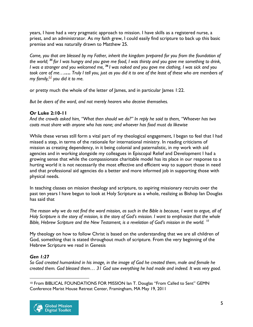years, I have had a very pragmatic approach to mission. I have skills as a registered nurse, a priest, and an administrator. As my faith grew, I could easily find scripture to back up this basic premise and was naturally drawn to Matthew 25.

*Come, you that are blessed by my Father, inherit the kingdom prepared for you from the foundation of the world; <sup>35</sup> for I was hungry and you gave me food, I was thirsty and you gave me something to drink, I was a stranger and you welcomed me, <sup>36</sup> I was naked and you gave me clothing, I was sick and you took care of me……. Truly I tell you, just as you did it to one of the least of these who are members of my family,[\[g\]](https://www.biblegateway.com/passage/?search=matthew+25&version=NRSV#fen-NRSV-24046g) you did it to me.*

or pretty much the whole of the letter of James, and in particular James 1:22.

*But be doers of the word, and not merely hearers who deceive themselves.*

## **Or Luke 2:10-11**

*And the crowds asked him, "What then should we do?" In reply he said to them, "Whoever has two coats must share with anyone who has none; and whoever has food must do likewise*

While these verses still form a vital part of my theological engagement, I began to feel that I had missed a step, in terms of the rationale for international ministry. In reading criticisms of mission as creating dependency, in it being colonial and paternalistic, in my work with aid agencies and in working alongside my colleagues in Episcopal Relief and Development I had a growing sense that while the compassionate charitable model has its place in our response to a hurting world it is not necessarily the most effective and efficient way to support those in need and that professional aid agencies do a better and more informed job in supporting those with physical needs.

In teaching classes on mission theology and scripture, to aspiring missionary recruits over the past ten years I have begun to look at Holy Scripture as a whole, realizing as Bishop Ian Douglas has said that

*The reason why we do not find the word mission, as such in the Bible is because, I want to argue, all of Holy Scripture is the story of mission, is the story of God's mission. I want to emphasize that the whole Bible, Hebrew Scripture and the New Testament, is a revelation of God's mission in the world. [10](#page-5-0)*

My theology on how to follow Christ is based on the understanding that we are all children of God, something that is stated throughout much of scripture. From the very beginning of the Hebrew Scripture we read in Genesis

# *Gen 1:27*

*So God created humankind in his image, in the image of God he created them, male and female he created them. God blessed them… 31 God saw everything he had made and indeed. It was very good.* 

<span id="page-5-0"></span> $\overline{a}$ <sup>10</sup> From BIBLICAL FOUNDATIONS FOR MISSION Ian T. Douglas "From Called to Sent" GEMN Conference Marist House Retreat Center, Framingham, MA May 19, 2011

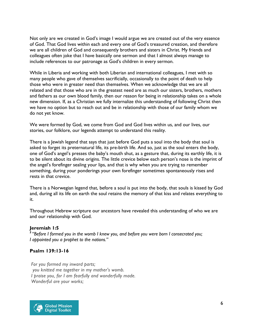Not only are we created in God's image I would argue we are created out of the very essence of God. That God lives within each and every one of God's treasured creation, and therefore we are all children of God and consequently brothers and sisters in Christ. My friends and colleagues often joke that I have basically one sermon and that I almost always manage to include references to our patronage as God's children in every sermon.

While in Liberia and working with both Liberian and international colleagues, I met with so many people who gave of themselves sacrificially, occasionally to the point of death to help those who were in greater need than themselves. When we acknowledge that we are all related and that those who are in the greatest need are as much our sisters, brothers, mothers and fathers as our own blood family, then our reason for being in relationship takes on a whole new dimension. If, as a Christian we fully internalize this understanding of following Christ then we have no option but to reach out and be in relationship with those of our family whom we do not yet know.

We were formed by God, we come from God and God lives within us, and our lives, our stories, our folklore, our legends attempt to understand this reality.

There is a Jewish legend that says that just before God puts a soul into the body that soul is asked to forget its preternatural life, its pre-birth life. And so, just as the soul enters the body, one of God's angel's presses the baby's mouth shut, as a gesture that, during its earthly life, it is to be silent about its divine origins. The little crevice below each person's nose is the imprint of the angel's forefinger sealing your lips, and that is why when you are trying to remember something, during your ponderings your own forefinger sometimes spontaneously rises and rests in that crevice.

There is a Norwegian legend that, before a soul is put into the body, that souls is kissed by God and, during all its life on earth the soul retains the memory of that kiss and relates everything to it.

Throughout Hebrew scripture our ancestors have revealed this understanding of who we are and our relationship with God.

#### **Jeremiah 1:5**

*<sup>5</sup>"Before I formed you in the womb I knew you, and before you were born I consecrated you; I appointed you a prophet to the nations."*

## **Psalm 139:13-16**

*For you formed my inward parts; you knitted me together in my mother's womb. I praise you, for I am fearfully and wonderfully made. Wonderful are your works;*

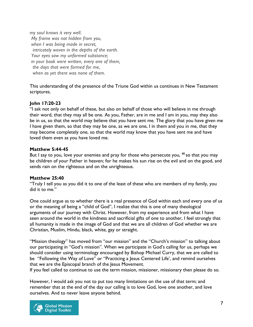*my soul knows it very well. My frame was not hidden from you, when I was being made in secret, intricately woven in the depths of the earth. Your eyes saw my unformed substance; in your book were written, every one of them, the days that were formed for me, when as yet there was none of them.*

This understanding of the presence of the Triune God within us continues in New Testament scriptures.

#### **John 17:20-23**

"I ask not only on behalf of these, but also on behalf of those who will believe in me through their word, that they may all be one. As you, Father, are in me and I am in you, may they also be in us, so that the world may believe that you have sent me. The glory that you have given me I have given them, so that they may be one, as we are one, I in them and you in me, that they may become completely one, so that the world may know that you have sent me and have loved them even as you have loved me.

#### **Matthew 5:44-45**

But I say to you, love your enemies and pray for those who persecute you, **<sup>45</sup>** so that you may be children of your Father in heaven; for he makes his sun rise on the evil and on the good, and sends rain on the righteous and on the unrighteous.

#### **Matthew 25:40**

"Truly I tell you as you did it to one of the least of these who are members of my family, you did it to me."

One could argue as to whether there is a real presence of God within each and every one of us or the meaning of being a "child of God", I realize that this is one of many theological arguments of our journey with Christ. However, from my experience and from what I have seen around the world in the kindness and sacrificial gifts of one to another, I feel strongly that all humanity is made in the image of God and that we are all children of God whether we are Christian, Muslim, Hindu, black, white, gay or straight.

"Mission theology" has moved from "our mission" and the "Church's mission" to talking about our participating in "God's mission". When we participate in God's calling for us, perhaps we should consider using terminology encouraged by Bishop Michael Curry, that we are called to be "Following the Way of Love" or "Practicing a Jesus Centered Life', and remind ourselves that we are the Episcopal branch of the Jesus Movement.

If you feel called to continue to use the term mission, missioner, missionary then please do so.

However, I would ask you not to put too many limitations on the use of that term; and remember that at the end of the day our calling is to love God, love one another, and love ourselves. And to never leave anyone behind.